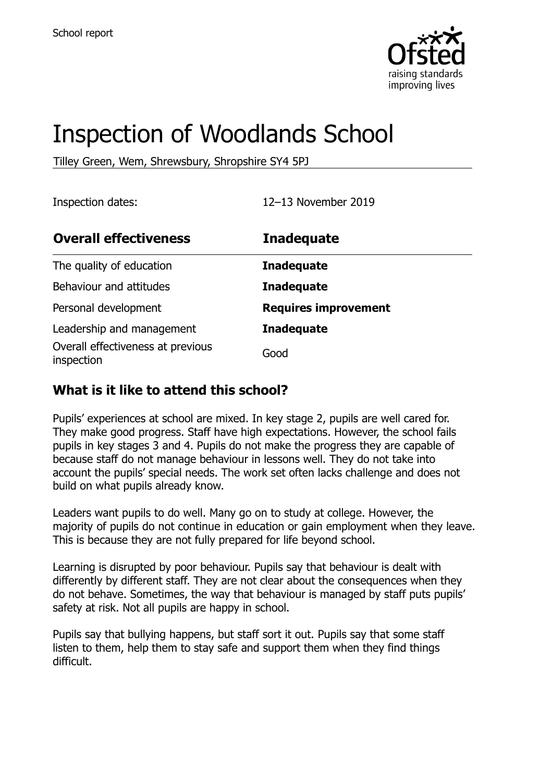

# Inspection of Woodlands School

Tilley Green, Wem, Shrewsbury, Shropshire SY4 5PJ

Inspection dates: 12–13 November 2019

| <b>Overall effectiveness</b>                    | <b>Inadequate</b>           |
|-------------------------------------------------|-----------------------------|
| The quality of education                        | <b>Inadequate</b>           |
| Behaviour and attitudes                         | <b>Inadequate</b>           |
| Personal development                            | <b>Requires improvement</b> |
| Leadership and management                       | <b>Inadequate</b>           |
| Overall effectiveness at previous<br>inspection | Good                        |

#### **What is it like to attend this school?**

Pupils' experiences at school are mixed. In key stage 2, pupils are well cared for. They make good progress. Staff have high expectations. However, the school fails pupils in key stages 3 and 4. Pupils do not make the progress they are capable of because staff do not manage behaviour in lessons well. They do not take into account the pupils' special needs. The work set often lacks challenge and does not build on what pupils already know.

Leaders want pupils to do well. Many go on to study at college. However, the majority of pupils do not continue in education or gain employment when they leave. This is because they are not fully prepared for life beyond school.

Learning is disrupted by poor behaviour. Pupils say that behaviour is dealt with differently by different staff. They are not clear about the consequences when they do not behave. Sometimes, the way that behaviour is managed by staff puts pupils' safety at risk. Not all pupils are happy in school.

Pupils say that bullying happens, but staff sort it out. Pupils say that some staff listen to them, help them to stay safe and support them when they find things difficult.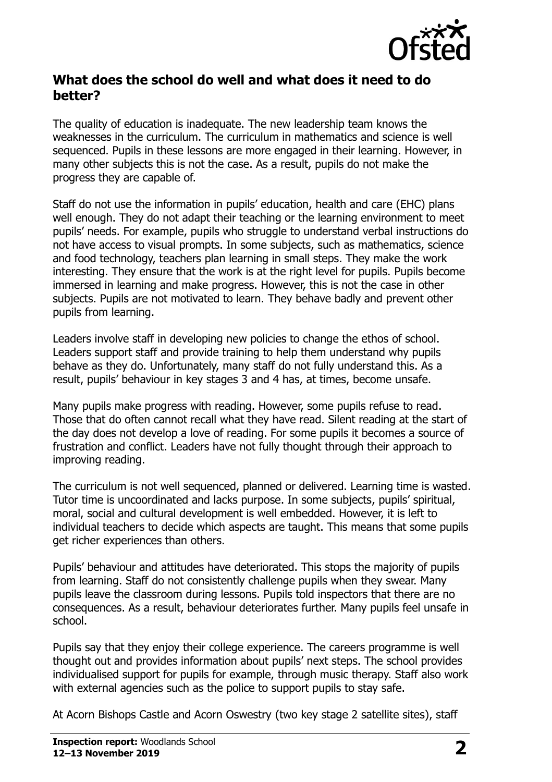

#### **What does the school do well and what does it need to do better?**

The quality of education is inadequate. The new leadership team knows the weaknesses in the curriculum. The curriculum in mathematics and science is well sequenced. Pupils in these lessons are more engaged in their learning. However, in many other subjects this is not the case. As a result, pupils do not make the progress they are capable of.

Staff do not use the information in pupils' education, health and care (EHC) plans well enough. They do not adapt their teaching or the learning environment to meet pupils' needs. For example, pupils who struggle to understand verbal instructions do not have access to visual prompts. In some subjects, such as mathematics, science and food technology, teachers plan learning in small steps. They make the work interesting. They ensure that the work is at the right level for pupils. Pupils become immersed in learning and make progress. However, this is not the case in other subjects. Pupils are not motivated to learn. They behave badly and prevent other pupils from learning.

Leaders involve staff in developing new policies to change the ethos of school. Leaders support staff and provide training to help them understand why pupils behave as they do. Unfortunately, many staff do not fully understand this. As a result, pupils' behaviour in key stages 3 and 4 has, at times, become unsafe.

Many pupils make progress with reading. However, some pupils refuse to read. Those that do often cannot recall what they have read. Silent reading at the start of the day does not develop a love of reading. For some pupils it becomes a source of frustration and conflict. Leaders have not fully thought through their approach to improving reading.

The curriculum is not well sequenced, planned or delivered. Learning time is wasted. Tutor time is uncoordinated and lacks purpose. In some subjects, pupils' spiritual, moral, social and cultural development is well embedded. However, it is left to individual teachers to decide which aspects are taught. This means that some pupils get richer experiences than others.

Pupils' behaviour and attitudes have deteriorated. This stops the majority of pupils from learning. Staff do not consistently challenge pupils when they swear. Many pupils leave the classroom during lessons. Pupils told inspectors that there are no consequences. As a result, behaviour deteriorates further. Many pupils feel unsafe in school.

Pupils say that they enjoy their college experience. The careers programme is well thought out and provides information about pupils' next steps. The school provides individualised support for pupils for example, through music therapy. Staff also work with external agencies such as the police to support pupils to stay safe.

At Acorn Bishops Castle and Acorn Oswestry (two key stage 2 satellite sites), staff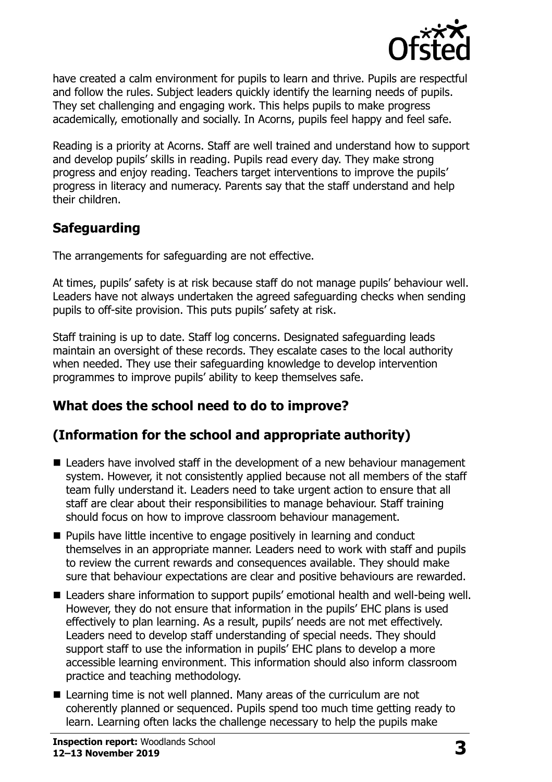

have created a calm environment for pupils to learn and thrive. Pupils are respectful and follow the rules. Subject leaders quickly identify the learning needs of pupils. They set challenging and engaging work. This helps pupils to make progress academically, emotionally and socially. In Acorns, pupils feel happy and feel safe.

Reading is a priority at Acorns. Staff are well trained and understand how to support and develop pupils' skills in reading. Pupils read every day. They make strong progress and enjoy reading. Teachers target interventions to improve the pupils' progress in literacy and numeracy. Parents say that the staff understand and help their children.

## **Safeguarding**

The arrangements for safeguarding are not effective.

At times, pupils' safety is at risk because staff do not manage pupils' behaviour well. Leaders have not always undertaken the agreed safeguarding checks when sending pupils to off-site provision. This puts pupils' safety at risk.

Staff training is up to date. Staff log concerns. Designated safeguarding leads maintain an oversight of these records. They escalate cases to the local authority when needed. They use their safeguarding knowledge to develop intervention programmes to improve pupils' ability to keep themselves safe.

## **What does the school need to do to improve?**

## **(Information for the school and appropriate authority)**

- Leaders have involved staff in the development of a new behaviour management system. However, it not consistently applied because not all members of the staff team fully understand it. Leaders need to take urgent action to ensure that all staff are clear about their responsibilities to manage behaviour. Staff training should focus on how to improve classroom behaviour management.
- **Pupils have little incentive to engage positively in learning and conduct** themselves in an appropriate manner. Leaders need to work with staff and pupils to review the current rewards and consequences available. They should make sure that behaviour expectations are clear and positive behaviours are rewarded.
- Leaders share information to support pupils' emotional health and well-being well. However, they do not ensure that information in the pupils' EHC plans is used effectively to plan learning. As a result, pupils' needs are not met effectively. Leaders need to develop staff understanding of special needs. They should support staff to use the information in pupils' EHC plans to develop a more accessible learning environment. This information should also inform classroom practice and teaching methodology.
- Learning time is not well planned. Many areas of the curriculum are not coherently planned or sequenced. Pupils spend too much time getting ready to learn. Learning often lacks the challenge necessary to help the pupils make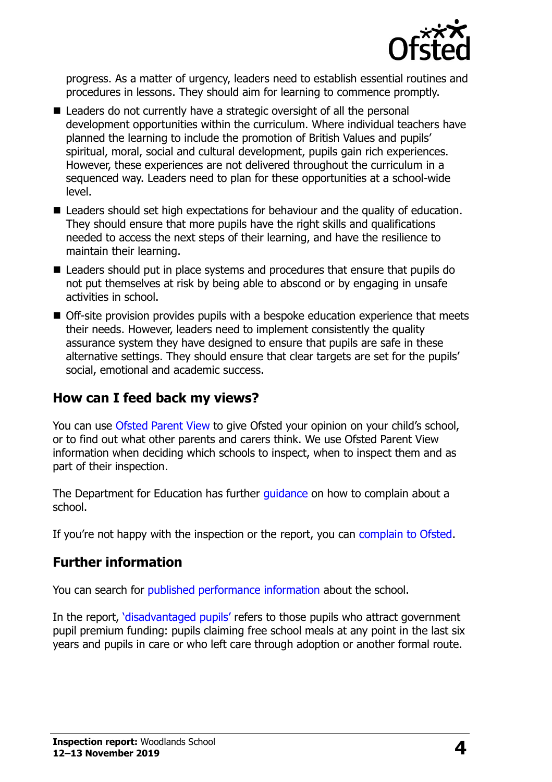

progress. As a matter of urgency, leaders need to establish essential routines and procedures in lessons. They should aim for learning to commence promptly.

- Leaders do not currently have a strategic oversight of all the personal development opportunities within the curriculum. Where individual teachers have planned the learning to include the promotion of British Values and pupils' spiritual, moral, social and cultural development, pupils gain rich experiences. However, these experiences are not delivered throughout the curriculum in a sequenced way. Leaders need to plan for these opportunities at a school-wide level.
- Leaders should set high expectations for behaviour and the quality of education. They should ensure that more pupils have the right skills and qualifications needed to access the next steps of their learning, and have the resilience to maintain their learning.
- Leaders should put in place systems and procedures that ensure that pupils do not put themselves at risk by being able to abscond or by engaging in unsafe activities in school.
- Off-site provision provides pupils with a bespoke education experience that meets their needs. However, leaders need to implement consistently the quality assurance system they have designed to ensure that pupils are safe in these alternative settings. They should ensure that clear targets are set for the pupils' social, emotional and academic success.

#### **How can I feed back my views?**

You can use [Ofsted Parent View](http://parentview.ofsted.gov.uk/) to give Ofsted your opinion on your child's school, or to find out what other parents and carers think. We use Ofsted Parent View information when deciding which schools to inspect, when to inspect them and as part of their inspection.

The Department for Education has further *guidance* on how to complain about a school.

If you're not happy with the inspection or the report, you can [complain to Ofsted.](http://www.gov.uk/complain-ofsted-report)

### **Further information**

You can search for [published performance information](http://www.compare-school-performance.service.gov.uk/) about the school.

In the report, '[disadvantaged pupils](http://www.gov.uk/guidance/pupil-premium-information-for-schools-and-alternative-provision-settings)' refers to those pupils who attract government pupil premium funding: pupils claiming free school meals at any point in the last six years and pupils in care or who left care through adoption or another formal route.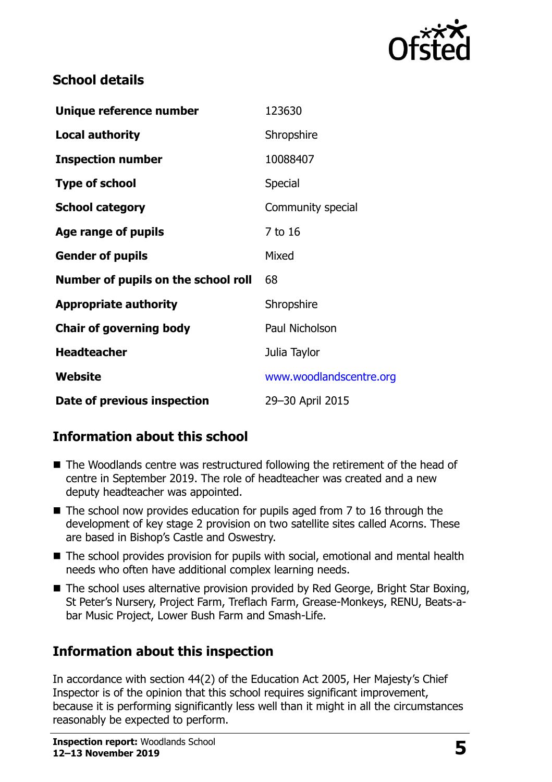

#### **School details**

| Unique reference number             | 123630                  |
|-------------------------------------|-------------------------|
| <b>Local authority</b>              | Shropshire              |
| <b>Inspection number</b>            | 10088407                |
| <b>Type of school</b>               | Special                 |
| <b>School category</b>              | Community special       |
| Age range of pupils                 | 7 to 16                 |
| <b>Gender of pupils</b>             | Mixed                   |
| Number of pupils on the school roll | 68                      |
| <b>Appropriate authority</b>        | Shropshire              |
| <b>Chair of governing body</b>      | Paul Nicholson          |
| <b>Headteacher</b>                  | Julia Taylor            |
| Website                             | www.woodlandscentre.org |
| Date of previous inspection         | 29-30 April 2015        |

### **Information about this school**

- The Woodlands centre was restructured following the retirement of the head of centre in September 2019. The role of headteacher was created and a new deputy headteacher was appointed.
- $\blacksquare$  The school now provides education for pupils aged from 7 to 16 through the development of key stage 2 provision on two satellite sites called Acorns. These are based in Bishop's Castle and Oswestry.
- The school provides provision for pupils with social, emotional and mental health needs who often have additional complex learning needs.
- The school uses alternative provision provided by Red George, Bright Star Boxing, St Peter's Nursery, Project Farm, Treflach Farm, Grease-Monkeys, RENU, Beats-abar Music Project, Lower Bush Farm and Smash-Life.

## **Information about this inspection**

In accordance with section 44(2) of the Education Act 2005, Her Majesty's Chief Inspector is of the opinion that this school requires significant improvement, because it is performing significantly less well than it might in all the circumstances reasonably be expected to perform.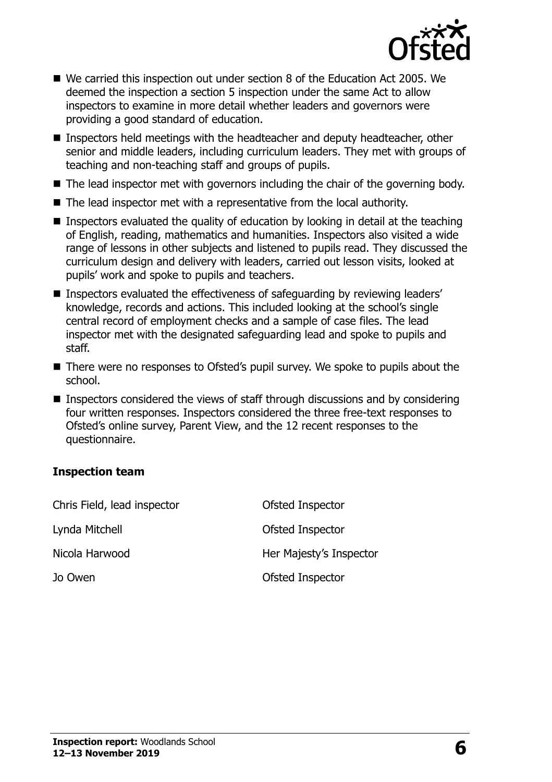

- We carried this inspection out under section 8 of the Education Act 2005. We deemed the inspection a section 5 inspection under the same Act to allow inspectors to examine in more detail whether leaders and governors were providing a good standard of education.
- Inspectors held meetings with the headteacher and deputy headteacher, other senior and middle leaders, including curriculum leaders. They met with groups of teaching and non-teaching staff and groups of pupils.
- $\blacksquare$  The lead inspector met with governors including the chair of the governing body.
- The lead inspector met with a representative from the local authority.
- **Inspectors evaluated the quality of education by looking in detail at the teaching** of English, reading, mathematics and humanities. Inspectors also visited a wide range of lessons in other subjects and listened to pupils read. They discussed the curriculum design and delivery with leaders, carried out lesson visits, looked at pupils' work and spoke to pupils and teachers.
- Inspectors evaluated the effectiveness of safeguarding by reviewing leaders' knowledge, records and actions. This included looking at the school's single central record of employment checks and a sample of case files. The lead inspector met with the designated safeguarding lead and spoke to pupils and staff.
- There were no responses to Ofsted's pupil survey. We spoke to pupils about the school.
- Inspectors considered the views of staff through discussions and by considering four written responses. Inspectors considered the three free-text responses to Ofsted's online survey, Parent View, and the 12 recent responses to the questionnaire.

#### **Inspection team**

| Chris Field, lead inspector | Ofsted Inspector        |
|-----------------------------|-------------------------|
| Lynda Mitchell              | Ofsted Inspector        |
| Nicola Harwood              | Her Majesty's Inspector |
| Jo Owen                     | Ofsted Inspector        |